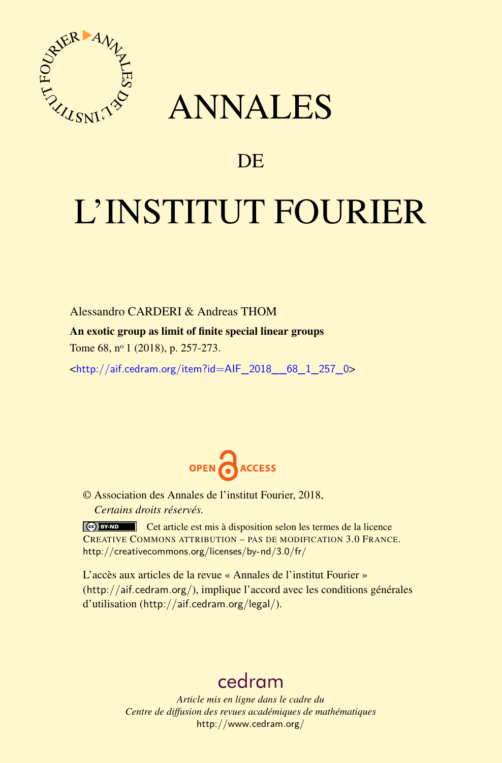

## ANNALES

## **DE**

# L'INSTITUT FOURIER

Alessandro CARDERI & Andreas THOM An exotic group as limit of finite special linear groups Tome 68, n<sup>o</sup> 1 (2018), p. 257-273.

<[http://aif.cedram.org/item?id=AIF\\_2018\\_\\_68\\_1\\_257\\_0](http://aif.cedram.org/item?id=AIF_2018__68_1_257_0)>



© Association des Annales de l'institut Fourier, 2018, *Certains droits réservés.*

Cet article est mis à disposition selon les termes de la licence CREATIVE COMMONS ATTRIBUTION – PAS DE MODIFICATION 3.0 FRANCE. <http://creativecommons.org/licenses/by-nd/3.0/fr/>

L'accès aux articles de la revue « Annales de l'institut Fourier » (<http://aif.cedram.org/>), implique l'accord avec les conditions générales d'utilisation (<http://aif.cedram.org/legal/>).

## [cedram](http://www.cedram.org/)

*Article mis en ligne dans le cadre du Centre de diffusion des revues académiques de mathématiques* <http://www.cedram.org/>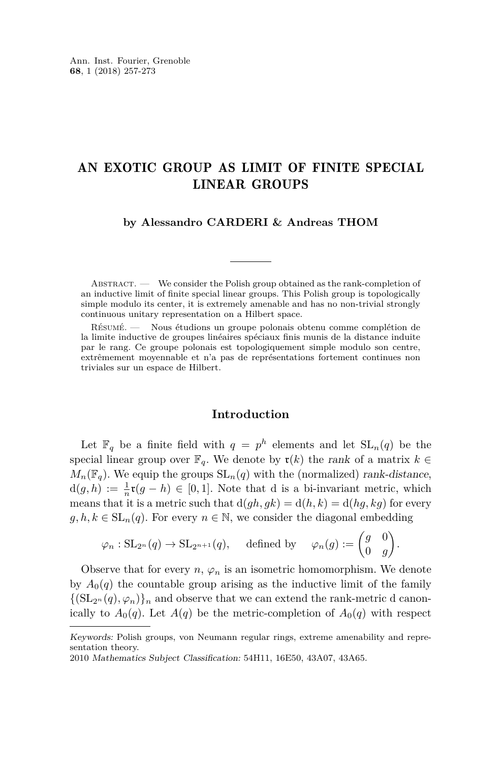### AN EXOTIC GROUP AS LIMIT OF FINITE SPECIAL LINEAR GROUPS

**by Alessandro CARDERI & Andreas THOM**

ABSTRACT. — We consider the Polish group obtained as the rank-completion of an inductive limit of finite special linear groups. This Polish group is topologically simple modulo its center, it is extremely amenable and has no non-trivial strongly continuous unitary representation on a Hilbert space.

Résumé. — Nous étudions un groupe polonais obtenu comme complétion de la limite inductive de groupes linéaires spéciaux finis munis de la distance induite par le rang. Ce groupe polonais est topologiquement simple modulo son centre, extrêmement moyennable et n'a pas de représentations fortement continues non triviales sur un espace de Hilbert.

#### **Introduction**

Let  $\mathbb{F}_q$  be a finite field with  $q = p^h$  elements and let  $SL_n(q)$  be the special linear group over  $\mathbb{F}_q$ . We denote by  $\mathfrak{r}(k)$  the rank of a matrix  $k \in$  $M_n(\mathbb{F}_q)$ . We equip the groups  $SL_n(q)$  with the (normalized) rank-distance,  $d(g, h) := \frac{1}{n} \mathfrak{r}(g - h) \in [0, 1]$ . Note that d is a bi-invariant metric, which means that it is a metric such that  $d(gh, gk) = d(h, k) = d(hg, kg)$  for every  $g, h, k \in SL_n(q)$ . For every  $n \in \mathbb{N}$ , we consider the diagonal embedding

$$
\varphi_n : SL_{2^n}(q) \to SL_{2^{n+1}}(q)
$$
, defined by  $\varphi_n(g) := \begin{pmatrix} g & 0 \\ 0 & g \end{pmatrix}$ .

Observe that for every  $n, \varphi_n$  is an isometric homomorphism. We denote by  $A_0(q)$  the countable group arising as the inductive limit of the family  $\{(\mathrm{SL}_{2^n}(q), \varphi_n)\}_n$  and observe that we can extend the rank-metric d canonically to  $A_0(q)$ . Let  $A(q)$  be the metric-completion of  $A_0(q)$  with respect

Keywords: Polish groups, von Neumann regular rings, extreme amenability and representation theory.

<sup>2010</sup> Mathematics Subject Classification: 54H11, 16E50, 43A07, 43A65.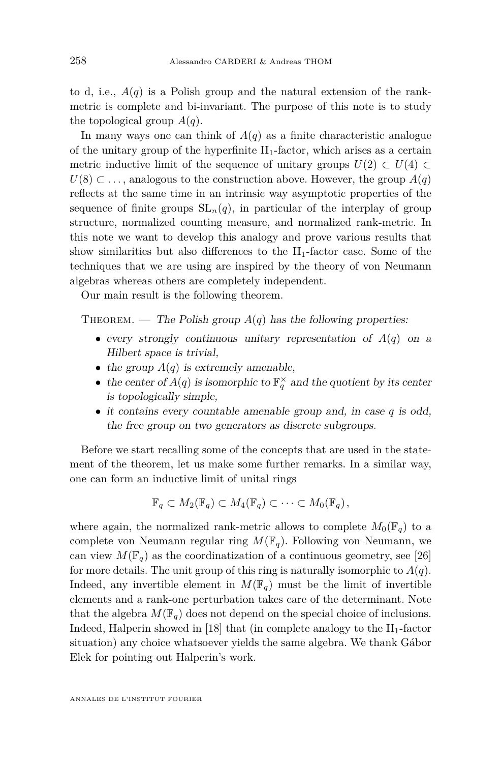to d, i.e.,  $A(q)$  is a Polish group and the natural extension of the rankmetric is complete and bi-invariant. The purpose of this note is to study the topological group  $A(q)$ .

In many ways one can think of  $A(q)$  as a finite characteristic analogue of the unitary group of the hyperfinite  $II_1$ -factor, which arises as a certain metric inductive limit of the sequence of unitary groups  $U(2) \subset U(4) \subset$  $U(8) \subset \ldots$ , analogous to the construction above. However, the group  $A(q)$ reflects at the same time in an intrinsic way asymptotic properties of the sequence of finite groups  $SL_n(q)$ , in particular of the interplay of group structure, normalized counting measure, and normalized rank-metric. In this note we want to develop this analogy and prove various results that show similarities but also differences to the  $II_1$ -factor case. Some of the techniques that we are using are inspired by the theory of von Neumann algebras whereas others are completely independent.

Our main result is the following theorem.

THEOREM. — The Polish group  $A(q)$  has the following properties:

- every strongly continuous unitary representation of *A*(*q*) on a Hilbert space is trivial,
- the group  $A(q)$  is extremely amenable,
- the center of  $A(q)$  is isomorphic to  $\mathbb{F}_q^{\times}$  and the quotient by its center is topologically simple,
- it contains every countable amenable group and, in case *q* is odd, the free group on two generators as discrete subgroups.

Before we start recalling some of the concepts that are used in the statement of the theorem, let us make some further remarks. In a similar way, one can form an inductive limit of unital rings

$$
\mathbb{F}_q \subset M_2(\mathbb{F}_q) \subset M_4(\mathbb{F}_q) \subset \cdots \subset M_0(\mathbb{F}_q),
$$

where again, the normalized rank-metric allows to complete  $M_0(\mathbb{F}_q)$  to a complete von Neumann regular ring  $M(\mathbb{F}_q)$ . Following von Neumann, we can view  $M(\mathbb{F}_q)$  as the coordinatization of a continuous geometry, see [\[26\]](#page-16-0) for more details. The unit group of this ring is naturally isomorphic to  $A(q)$ . Indeed, any invertible element in  $M(\mathbb{F}_q)$  must be the limit of invertible elements and a rank-one perturbation takes care of the determinant. Note that the algebra  $M(\mathbb{F}_q)$  does not depend on the special choice of inclusions. Indeed, Halperin showed in [\[18\]](#page-16-1) that (in complete analogy to the  $II_1$ -factor situation) any choice whatsoever yields the same algebra. We thank Gábor Elek for pointing out Halperin's work.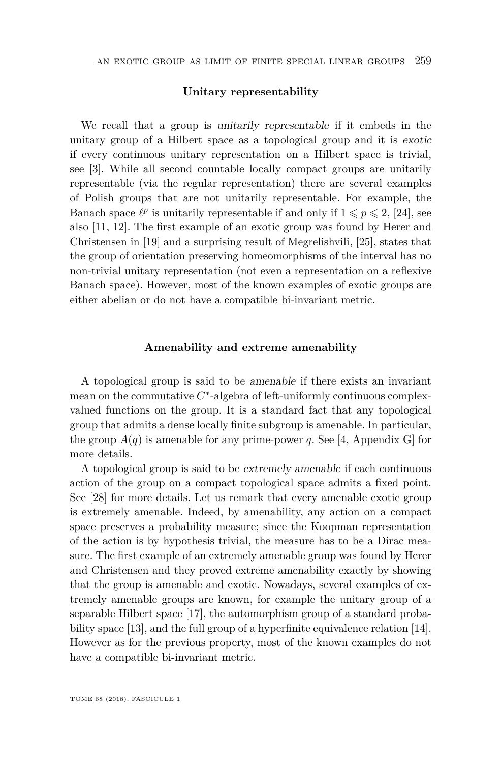#### **Unitary representability**

We recall that a group is unitarily representable if it embeds in the unitary group of a Hilbert space as a topological group and it is exotic if every continuous unitary representation on a Hilbert space is trivial, see [\[3\]](#page-15-0). While all second countable locally compact groups are unitarily representable (via the regular representation) there are several examples of Polish groups that are not unitarily representable. For example, the Banach space  $\ell^p$  is unitarily representable if and only if  $1 \leq p \leq 2$ , [\[24\]](#page-16-2), see also [\[11,](#page-16-3) [12\]](#page-16-4). The first example of an exotic group was found by Herer and Christensen in [\[19\]](#page-16-5) and a surprising result of Megrelishvili, [\[25\]](#page-16-6), states that the group of orientation preserving homeomorphisms of the interval has no non-trivial unitary representation (not even a representation on a reflexive Banach space). However, most of the known examples of exotic groups are either abelian or do not have a compatible bi-invariant metric.

#### **Amenability and extreme amenability**

A topological group is said to be amenable if there exists an invariant mean on the commutative  $C^*$ -algebra of left-uniformly continuous complexvalued functions on the group. It is a standard fact that any topological group that admits a dense locally finite subgroup is amenable. In particular, the group  $A(q)$  is amenable for any prime-power *q*. See [\[4,](#page-15-1) Appendix G] for more details.

A topological group is said to be extremely amenable if each continuous action of the group on a compact topological space admits a fixed point. See [\[28\]](#page-16-7) for more details. Let us remark that every amenable exotic group is extremely amenable. Indeed, by amenability, any action on a compact space preserves a probability measure; since the Koopman representation of the action is by hypothesis trivial, the measure has to be a Dirac measure. The first example of an extremely amenable group was found by Herer and Christensen and they proved extreme amenability exactly by showing that the group is amenable and exotic. Nowadays, several examples of extremely amenable groups are known, for example the unitary group of a separable Hilbert space [\[17\]](#page-16-8), the automorphism group of a standard probability space [\[13\]](#page-16-9), and the full group of a hyperfinite equivalence relation [\[14\]](#page-16-10). However as for the previous property, most of the known examples do not have a compatible bi-invariant metric.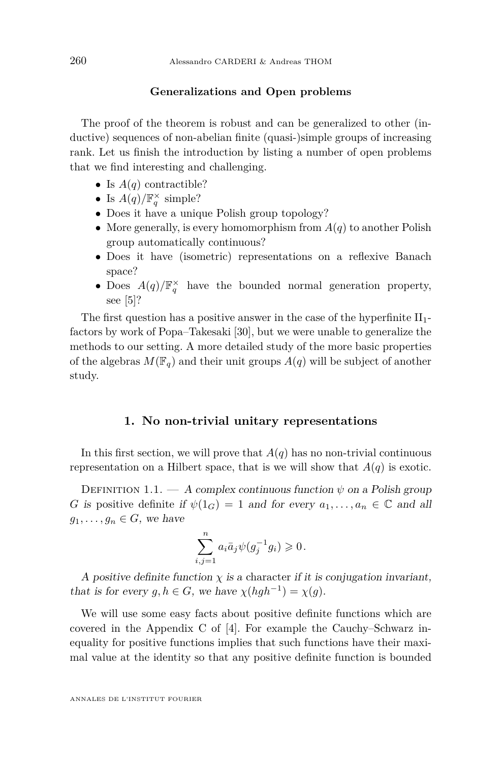#### **Generalizations and Open problems**

The proof of the theorem is robust and can be generalized to other (inductive) sequences of non-abelian finite (quasi-)simple groups of increasing rank. Let us finish the introduction by listing a number of open problems that we find interesting and challenging.

- Is  $A(q)$  contractible?
- Is  $A(q)/\mathbb{F}_q^{\times}$  simple?
- Does it have a unique Polish group topology?
- More generally, is every homomorphism from  $A(q)$  to another Polish group automatically continuous?
- Does it have (isometric) representations on a reflexive Banach space?
- Does  $A(q)/\mathbb{F}_q^{\times}$  have the bounded normal generation property, see [\[5\]](#page-15-2)?

The first question has a positive answer in the case of the hyperfinite  $II_1$ factors by work of Popa–Takesaki [\[30\]](#page-16-11), but we were unable to generalize the methods to our setting. A more detailed study of the more basic properties of the algebras  $M(\mathbb{F}_q)$  and their unit groups  $A(q)$  will be subject of another study.

#### **1. No non-trivial unitary representations**

In this first section, we will prove that  $A(q)$  has no non-trivial continuous representation on a Hilbert space, that is we will show that  $A(q)$  is exotic.

DEFINITION 1.1. — A complex continuous function  $\psi$  on a Polish group *G* is positive definite if  $\psi(1_G) = 1$  and for every  $a_1, \ldots, a_n \in \mathbb{C}$  and all  $g_1, \ldots, g_n \in G$ , we have

$$
\sum_{i,j=1}^{n} a_i \bar{a}_j \psi(g_j^{-1} g_i) \geq 0.
$$

A positive definite function  $\chi$  is a character if it is conjugation invariant, that is for every  $g, h \in G$ , we have  $\chi(hgh^{-1}) = \chi(g)$ .

We will use some easy facts about positive definite functions which are covered in the Appendix C of [\[4\]](#page-15-1). For example the Cauchy–Schwarz inequality for positive functions implies that such functions have their maximal value at the identity so that any positive definite function is bounded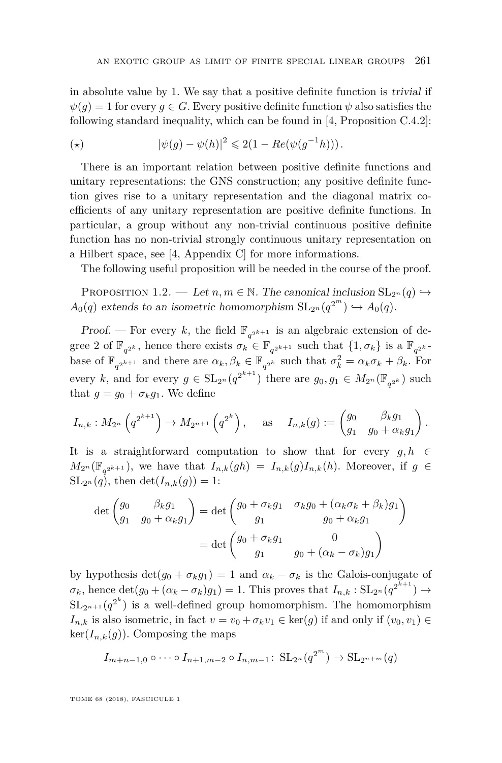in absolute value by 1. We say that a positive definite function is trivial if  $\psi(q) = 1$  for every  $q \in G$ . Every positive definite function  $\psi$  also satisfies the following standard inequality, which can be found in [\[4,](#page-15-1) Proposition C.4.2]:

<span id="page-5-1"></span>
$$
(\star) \qquad |\psi(g) - \psi(h)|^2 \leq 2(1 - Re(\psi(g^{-1}h))).
$$

There is an important relation between positive definite functions and unitary representations: the GNS construction; any positive definite function gives rise to a unitary representation and the diagonal matrix coefficients of any unitary representation are positive definite functions. In particular, a group without any non-trivial continuous positive definite function has no non-trivial strongly continuous unitary representation on a Hilbert space, see [\[4,](#page-15-1) Appendix C] for more informations.

The following useful proposition will be needed in the course of the proof.

<span id="page-5-0"></span>PROPOSITION 1.2. — Let  $n, m \in \mathbb{N}$ . The canonical inclusion  $SL_{2^n}(q) \hookrightarrow$  $A_0(q)$  extends to an isometric homomorphism  $SL_{2^n}(q^{2^m}) \hookrightarrow A_0(q)$ .

Proof. — For every *k*, the field  $\mathbb{F}_{q^{2^{k+1}}}$  is an algebraic extension of degree 2 of  $\mathbb{F}_{q^{2^k}}$ , hence there exists  $\sigma_k \in \mathbb{F}_{q^{2^{k+1}}}$  such that  $\{1, \sigma_k\}$  is a  $\mathbb{F}_{q^{2^k}}$ base of  $\mathbb{F}_{q^{2k+1}}$  and there are  $\alpha_k, \beta_k \in \mathbb{F}_{q^{2k}}$  such that  $\sigma_k^2 = \alpha_k \sigma_k + \beta_k$ . For every *k*, and for every  $g \in SL_{2^n}(q^{2^{k+1}})$  there are  $g_0, g_1 \in M_{2^n}(\mathbb{F}_{q^{2^k}})$  such that  $q = q_0 + \sigma_k q_1$ . We define

$$
I_{n,k}: M_{2^n} \left( q^{2^{k+1}} \right) \to M_{2^{n+1}} \left( q^{2^k} \right), \quad \text{as} \quad I_{n,k}(g) := \begin{pmatrix} g_0 & \beta_k g_1 \\ g_1 & g_0 + \alpha_k g_1 \end{pmatrix}.
$$

It is a straightforward computation to show that for every  $g, h \in$ *M*<sub>2</sub><sup>*n*</sup>( $\mathbb{F}_{q^{2^{k+1}}}$ ), we have that *I*<sub>*n*,*k*</sub>(*gh*) = *I*<sub>*n*,*k*</sub>(*g*)*I*<sub>*n*,*k*</sub>(*h*). Moreover, if *g* ∈  $SL_{2^n}(q)$ , then  $\det(I_{n,k}(q)) = 1$ :

$$
\det\begin{pmatrix} g_0 & \beta_k g_1 \\ g_1 & g_0 + \alpha_k g_1 \end{pmatrix} = \det\begin{pmatrix} g_0 + \sigma_k g_1 & \sigma_k g_0 + (\alpha_k \sigma_k + \beta_k) g_1 \\ g_1 & g_0 + \alpha_k g_1 \end{pmatrix}
$$
\n
$$
= \det\begin{pmatrix} g_0 + \sigma_k g_1 & 0 \\ g_1 & g_0 + (\alpha_k - \sigma_k) g_1 \end{pmatrix}
$$

by hypothesis  $det(g_0 + \sigma_k g_1) = 1$  and  $\alpha_k - \sigma_k$  is the Galois-conjugate of  $\sigma_k$ , hence  $\det(g_0 + (\alpha_k - \sigma_k)g_1) = 1$ . This proves that  $I_{n,k} : SL_{2^n}(q^{2^{k+1}}) \to$  $SL_{2^{n+1}}(q^{2^k})$  is a well-defined group homomorphism. The homomorphism *I*<sub>*n,k*</sub> is also isometric, in fact  $v = v_0 + \sigma_k v_1 \in \text{ker}(g)$  if and only if  $(v_0, v_1) \in$  $\ker(I_{n,k}(g))$ . Composing the maps

$$
I_{m+n-1,0} \circ \cdots \circ I_{n+1,m-2} \circ I_{n,m-1} \colon SL_{2^n}(q^{2^m}) \to SL_{2^{n+m}}(q)
$$

TOME 68 (2018), FASCICULE 1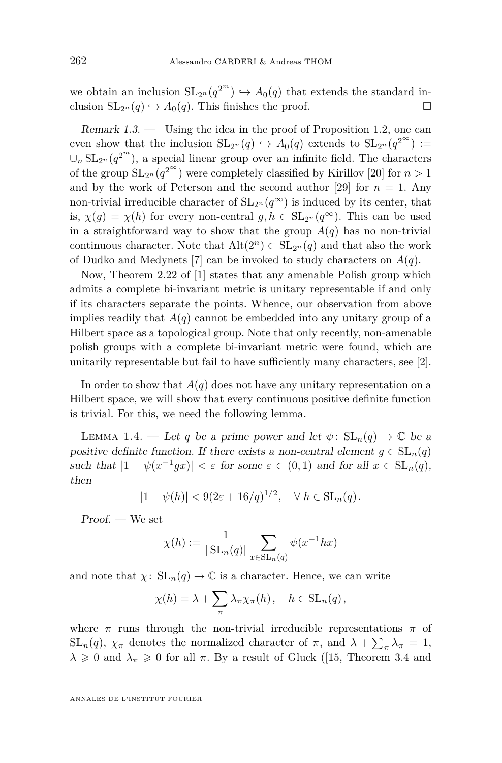we obtain an inclusion  $SL_{2^n}(q^{2^m}) \hookrightarrow A_0(q)$  that extends the standard inclusion  $SL_{2n}(q) \hookrightarrow A_0(q)$ . This finishes the proof.

Remark  $1.3.$  — Using the idea in the proof of Proposition [1.2,](#page-5-0) one can even show that the inclusion  $SL_{2^n}(q) \hookrightarrow A_0(q)$  extends to  $SL_{2^n}(q^{2^{\infty}}) :=$ ∪<sub>n</sub> SL<sub>2<sup>*n*</sup></sub>( $q^{2^m}$ ), a special linear group over an infinite field. The characters of the group  $SL_{2^n}(q^{2^{\infty}})$  were completely classified by Kirillov [\[20\]](#page-16-12) for  $n > 1$ and by the work of Peterson and the second author [\[29\]](#page-16-13) for  $n = 1$ . Any non-trivial irreducible character of  $SL_{2^n}(q^{\infty})$  is induced by its center, that is,  $\chi(q) = \chi(h)$  for every non-central  $q, h \in SL_{2^n}(q^{\infty})$ . This can be used in a straightforward way to show that the group  $A(q)$  has no non-trivial continuous character. Note that  $\text{Alt}(2^n) \subset \text{SL}_{2^n}(q)$  and that also the work of Dudko and Medynets [\[7\]](#page-15-3) can be invoked to study characters on *A*(*q*).

Now, Theorem 2.22 of [\[1\]](#page-15-4) states that any amenable Polish group which admits a complete bi-invariant metric is unitary representable if and only if its characters separate the points. Whence, our observation from above implies readily that  $A(q)$  cannot be embedded into any unitary group of a Hilbert space as a topological group. Note that only recently, non-amenable polish groups with a complete bi-invariant metric were found, which are unitarily representable but fail to have sufficiently many characters, see [\[2\]](#page-15-5).

In order to show that  $A(q)$  does not have any unitary representation on a Hilbert space, we will show that every continuous positive definite function is trivial. For this, we need the following lemma.

LEMMA 1.4. — Let *q* be a prime power and let  $\psi$ :  $SL_n(q) \to \mathbb{C}$  be a positive definite function. If there exists a non-central element  $g \in SL_n(q)$ such that  $|1 - \psi(x^{-1}gx)| < \varepsilon$  for some  $\varepsilon \in (0,1)$  and for all  $x \in SL_n(q)$ , then

$$
|1 - \psi(h)| < 9(2\varepsilon + 16/q)^{1/2}, \quad \forall \ h \in SL_n(q).
$$

Proof. — We set

$$
\chi(h) := \frac{1}{|\operatorname{SL}_n(q)|} \sum_{x \in \operatorname{SL}_n(q)} \psi(x^{-1}hx)
$$

and note that  $\chi: SL_n(q) \to \mathbb{C}$  is a character. Hence, we can write

$$
\chi(h) = \lambda + \sum_{\pi} \lambda_{\pi} \chi_{\pi}(h), \quad h \in SL_n(q),
$$

where  $\pi$  runs through the non-trivial irreducible representations  $\pi$  of  $SL_n(q)$ ,  $\chi_{\pi}$  denotes the normalized character of  $\pi$ , and  $\lambda + \sum_{\pi} \lambda_{\pi} = 1$ ,  $\lambda \geq 0$  and  $\lambda_{\pi} \geq 0$  for all  $\pi$ . By a result of Gluck ([\[15,](#page-16-14) Theorem 3.4 and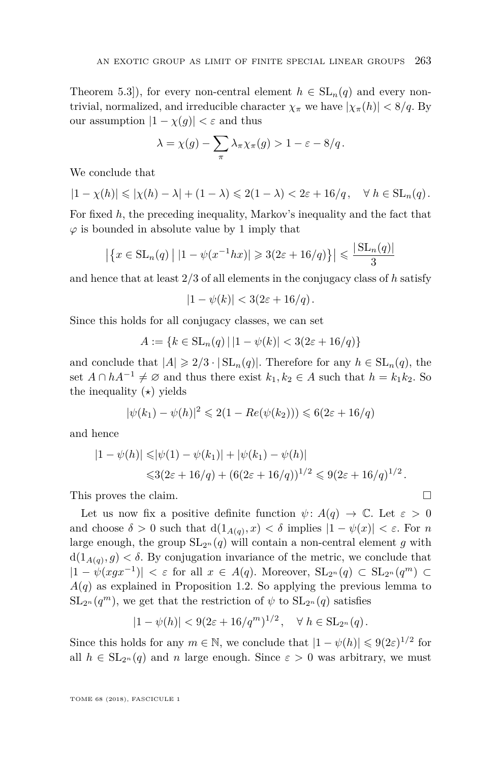Theorem 5.3]), for every non-central element  $h \in SL_n(q)$  and every nontrivial, normalized, and irreducible character  $\chi_{\pi}$  we have  $|\chi_{\pi}(h)| < 8/q$ . By our assumption  $|1 - \chi(g)| < \varepsilon$  and thus

$$
\lambda = \chi(g) - \sum_{\pi} \lambda_{\pi} \chi_{\pi}(g) > 1 - \varepsilon - 8/q.
$$

We conclude that

$$
|1 - \chi(h)| \leq |\chi(h) - \lambda| + (1 - \lambda) \leq 2(1 - \lambda) < 2\varepsilon + 16/q, \quad \forall \ h \in \mathrm{SL}_n(q).
$$

For fixed *h*, the preceding inequality, Markov's inequality and the fact that  $\varphi$  is bounded in absolute value by 1 imply that

$$
\left| \left\{ x \in SL_n(q) \mid |1 - \psi(x^{-1}hx)| \geq 3(2\varepsilon + 16/q) \right\} \right| \leq \frac{|{\rm SL}_n(q)|}{3}
$$

and hence that at least 2*/*3 of all elements in the conjugacy class of *h* satisfy

$$
|1 - \psi(k)| < 3(2\varepsilon + 16/q).
$$

Since this holds for all conjugacy classes, we can set

$$
A := \{ k \in SL_n(q) \, | \, |1 - \psi(k)| < 3(2\varepsilon + 16/q) \}
$$

and conclude that  $|A| \geq 2/3 \cdot |\mathrm{SL}_n(q)|$ . Therefore for any  $h \in \mathrm{SL}_n(q)$ , the set *A* ∩ *hA*<sup>-1</sup> ≠ ∅ and thus there exist *k*<sub>1</sub>, *k*<sub>2</sub> ∈ *A* such that *h* = *k*<sub>1</sub>*k*<sub>2</sub>. So the inequality  $(\star)$  yields

$$
|\psi(k_1) - \psi(h)|^2 \leq 2(1 - Re(\psi(k_2))) \leq 6(2\varepsilon + 16/q)
$$

and hence

$$
\begin{aligned} |1-\psi(h)|\leqslant&|\psi(1)-\psi(k_1)|+|\psi(k_1)-\psi(h)|\\ \leqslant& 3(2\varepsilon+16/q)+ (6(2\varepsilon+16/q))^{1/2}\leqslant 9(2\varepsilon+16/q)^{1/2}\,. \end{aligned}
$$

This proves the claim.

Let us now fix a positive definite function  $\psi: A(q) \to \mathbb{C}$ . Let  $\varepsilon > 0$ and choose  $\delta > 0$  such that  $d(1_{A(q)}, x) < \delta$  implies  $|1 - \psi(x)| < \varepsilon$ . For *n* large enough, the group  $SL_{2n}(q)$  will contain a non-central element g with  $d(1_{A(q)}, g) < \delta$ . By conjugation invariance of the metric, we conclude that  $|1 - \psi(xgx^{-1})| < \varepsilon$  for all  $x \in A(q)$ . Moreover,  $SL_{2^n}(q) \subset SL_{2^n}(q^m)$  $A(q)$  as explained in Proposition [1.2.](#page-5-0) So applying the previous lemma to  $SL_{2^n}(q^m)$ , we get that the restriction of  $\psi$  to  $SL_{2^n}(q)$  satisfies

$$
|1 - \psi(h)| < 9(2\varepsilon + 16/q^m)^{1/2}, \quad \forall \ h \in \mathrm{SL}_{2^n}(q).
$$

Since this holds for any  $m \in \mathbb{N}$ , we conclude that  $|1 - \psi(h)| \leq 9(2\varepsilon)^{1/2}$  for all  $h \in SL_{2^n}(q)$  and *n* large enough. Since  $\varepsilon > 0$  was arbitrary, we must

TOME 68 (2018), FASCICULE 1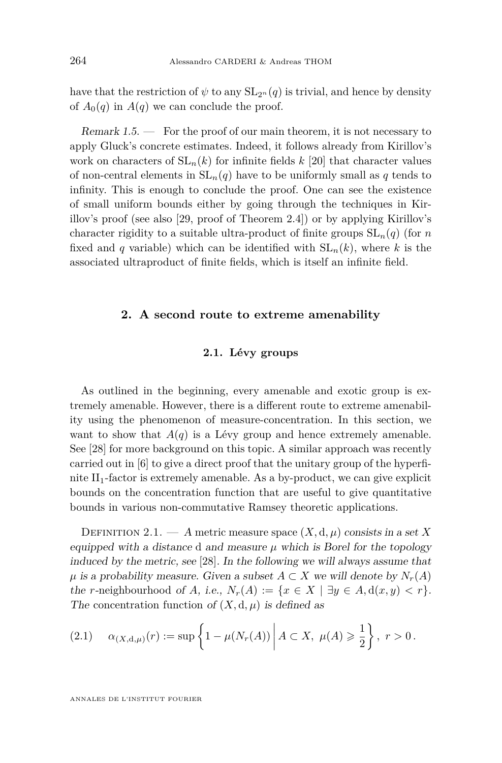have that the restriction of  $\psi$  to any  $SL_{2^n}(q)$  is trivial, and hence by density of  $A_0(q)$  in  $A(q)$  we can conclude the proof.

Remark  $1.5.$  — For the proof of our main theorem, it is not necessary to apply Gluck's concrete estimates. Indeed, it follows already from Kirillov's work on characters of  $SL_n(k)$  for infinite fields  $k$  [\[20\]](#page-16-12) that character values of non-central elements in  $SL_n(q)$  have to be uniformly small as q tends to infinity. This is enough to conclude the proof. One can see the existence of small uniform bounds either by going through the techniques in Kirillov's proof (see also [\[29,](#page-16-13) proof of Theorem 2.4]) or by applying Kirillov's character rigidity to a suitable ultra-product of finite groups  $SL_n(q)$  (for *n* fixed and *q* variable) which can be identified with  $SL_n(k)$ , where *k* is the associated ultraproduct of finite fields, which is itself an infinite field.

#### **2. A second route to extreme amenability**

#### **2.1. Lévy groups**

As outlined in the beginning, every amenable and exotic group is extremely amenable. However, there is a different route to extreme amenability using the phenomenon of measure-concentration. In this section, we want to show that  $A(q)$  is a Lévy group and hence extremely amenable. See [\[28\]](#page-16-7) for more background on this topic. A similar approach was recently carried out in [\[6\]](#page-15-6) to give a direct proof that the unitary group of the hyperfinite  $II_1$ -factor is extremely amenable. As a by-product, we can give explicit bounds on the concentration function that are useful to give quantitative bounds in various non-commutative Ramsey theoretic applications.

DEFINITION 2.1. — A metric measure space  $(X, d, \mu)$  consists in a set X equipped with a distance d and measure  $\mu$  which is Borel for the topology induced by the metric, see [\[28\]](#page-16-7). In the following we will always assume that  $\mu$  is a probability measure. Given a subset  $A \subset X$  we will denote by  $N_r(A)$ the *r*-neighbourhood of *A*, i.e.,  $N_r(A) := \{x \in X \mid \exists y \in A, d(x, y) < r\}.$ The concentration function of  $(X, d, \mu)$  is defined as

(2.1) 
$$
\alpha_{(X,\mathbf{d},\mu)}(r) := \sup \left\{ 1 - \mu(N_r(A)) \middle| A \subset X, \ \mu(A) \geq \frac{1}{2} \right\}, \ r > 0.
$$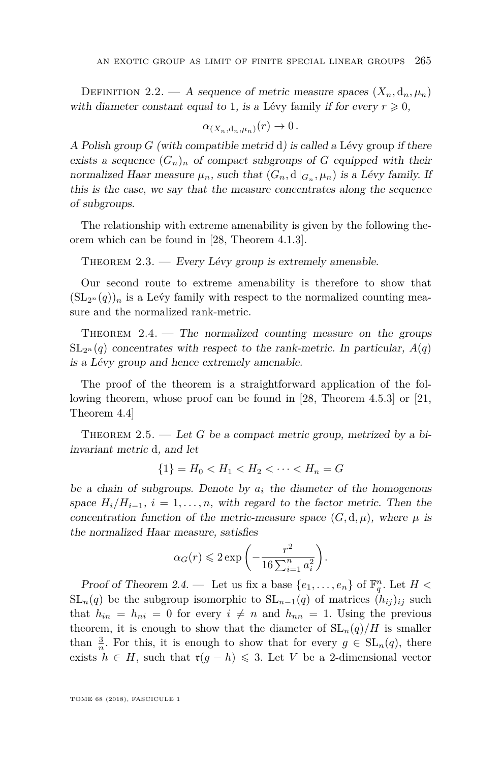DEFINITION 2.2. — A sequence of metric measure spaces  $(X_n, d_n, \mu_n)$ with diameter constant equal to 1, is a Lévy family if for every  $r \geq 0$ ,

$$
\alpha_{(X_n,d_n,\mu_n)}(r) \to 0.
$$

A Polish group *G* (with compatible metrid d) is called a Lévy group if there exists a sequence  $(G_n)_n$  of compact subgroups of G equipped with their normalized Haar measure  $\mu_n$ , such that  $(G_n, d |_{G_n}, \mu_n)$  is a Lévy family. If this is the case, we say that the measure concentrates along the sequence of subgroups.

The relationship with extreme amenability is given by the following theorem which can be found in [\[28,](#page-16-7) Theorem 4.1.3].

THEOREM  $2.3.$  — Every Lévy group is extremely amenable.

Our second route to extreme amenability is therefore to show that  $(\mathrm{SL}_{2^n}(q))_n$  is a Levy family with respect to the normalized counting measure and the normalized rank-metric.

<span id="page-9-0"></span>THEOREM  $2.4.$  — The normalized counting measure on the groups  $SL_{2^n}(q)$  concentrates with respect to the rank-metric. In particular,  $A(q)$ is a Lévy group and hence extremely amenable.

The proof of the theorem is a straightforward application of the following theorem, whose proof can be found in [\[28,](#page-16-7) Theorem 4.5.3] or [\[21,](#page-16-15) Theorem 4.4]

THEOREM 2.5. — Let *G* be a compact metric group, metrized by a biinvariant metric d, and let

 ${1}$  =  $H_0 < H_1 < H_2 < \cdots < H_n = G$ 

be a chain of subgroups. Denote by  $a_i$  the diameter of the homogenous space  $H_i/H_{i-1}$ ,  $i = 1, \ldots, n$ , with regard to the factor metric. Then the concentration function of the metric-measure space  $(G, d, \mu)$ , where  $\mu$  is the normalized Haar measure, satisfies

$$
\alpha_G(r) \leqslant 2 \exp\left(-\frac{r^2}{16\sum_{i=1}^n a_i^2}\right).
$$

Proof of Theorem [2.4.](#page-9-0) — Let us fix a base  $\{e_1, \ldots, e_n\}$  of  $\mathbb{F}_q^n$ . Let  $H \leq$  $SL_n(q)$  be the subgroup isomorphic to  $SL_{n-1}(q)$  of matrices  $(h_{ij})_{ij}$  such that  $h_{in} = h_{ni} = 0$  for every  $i \neq n$  and  $h_{nn} = 1$ . Using the previous theorem, it is enough to show that the diameter of  $SL_n(q)/H$  is smaller than  $\frac{3}{n}$ . For this, it is enough to show that for every  $g \in SL_n(q)$ , there exists  $h \in H$ , such that  $\mathfrak{r}(g - h) \leq 3$ . Let *V* be a 2-dimensional vector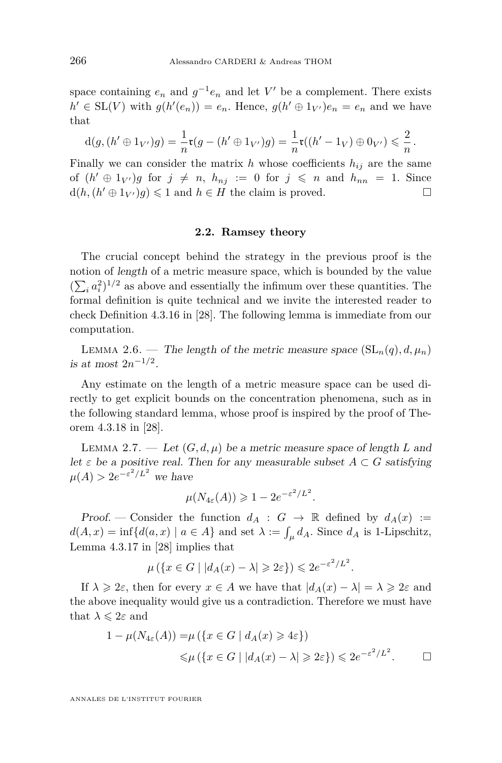space containing  $e_n$  and  $g^{-1}e_n$  and let  $V'$  be a complement. There exists  $h' \in SL(V)$  with  $g(h'(e_n)) = e_n$ . Hence,  $g(h' \oplus 1_{V'})e_n = e_n$  and we have that

$$
\mathrm{d}(g,(h'\oplus 1_{V'})g)=\frac{1}{n}\mathfrak{r}(g-(h'\oplus 1_{V'})g)=\frac{1}{n}\mathfrak{r}((h'-1_V)\oplus 0_{V'})\leqslant \frac{2}{n}\,.
$$

Finally we can consider the matrix *h* whose coefficients  $h_{ij}$  are the same of  $(h' \oplus 1_{V'})g$  for  $j \neq n$ ,  $h_{nj} := 0$  for  $j \leq n$  and  $h_{nn} = 1$ . Since  $d(h, (h' \oplus 1_{V'})g) \leq 1$  and  $h \in H$  the claim is proved.

#### **2.2. Ramsey theory**

The crucial concept behind the strategy in the previous proof is the notion of length of a metric measure space, which is bounded by the value  $(\sum_i a_i^2)^{1/2}$  as above and essentially the infimum over these quantities. The formal definition is quite technical and we invite the interested reader to check Definition 4.3.16 in [\[28\]](#page-16-7). The following lemma is immediate from our computation.

LEMMA 2.6. — The length of the metric measure space  $(SL_n(q), d, \mu_n)$  $\int \sin nt \, \text{m} \cdot \text{m} \cdot 2n^{-1/2}$ .

Any estimate on the length of a metric measure space can be used directly to get explicit bounds on the concentration phenomena, such as in the following standard lemma, whose proof is inspired by the proof of Theorem 4.3.18 in [\[28\]](#page-16-7).

<span id="page-10-0"></span>LEMMA 2.7. — Let  $(G, d, \mu)$  be a metric measure space of length L and let  $\varepsilon$  be a positive real. Then for any measurable subset  $A \subset G$  satisfying  $\mu(A) > 2e^{-\varepsilon^2/L^2}$  we have

$$
\mu(N_{4\varepsilon}(A)) \geq 1 - 2e^{-\varepsilon^2/L^2}.
$$

Proof. — Consider the function  $d_A : G \to \mathbb{R}$  defined by  $d_A(x) :=$  $d(A, x) = \inf \{ d(a, x) \mid a \in A \}$  and set  $\lambda := \int_{\mu} d_A$ . Since  $d_A$  is 1-Lipschitz, Lemma 4.3.17 in [\[28\]](#page-16-7) implies that

$$
\mu\left(\left\{x \in G \mid |d_A(x) - \lambda| \geqslant 2\varepsilon\right\}\right) \leqslant 2e^{-\varepsilon^2/L^2}.
$$

If  $\lambda \geq 2\varepsilon$ , then for every  $x \in A$  we have that  $|d_A(x) - \lambda| = \lambda \geq 2\varepsilon$  and the above inequality would give us a contradiction. Therefore we must have that  $\lambda \leq 2\varepsilon$  and

$$
1 - \mu(N_{4\varepsilon}(A)) = \mu (\{x \in G \mid d_A(x) \geq 4\varepsilon\})
$$
  
\$\leq \mu (\{x \in G \mid |d\_A(x) - \lambda| \geq 2\varepsilon\}) \leq 2e^{-\varepsilon^2/L^2}\$. \square\$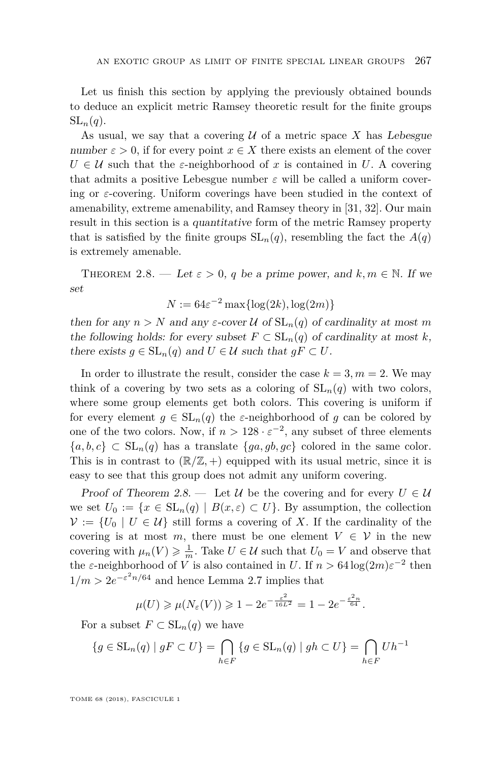Let us finish this section by applying the previously obtained bounds to deduce an explicit metric Ramsey theoretic result for the finite groups  $SL_n(q)$ .

As usual, we say that a covering  $U$  of a metric space  $X$  has Lebesgue number  $\varepsilon > 0$ , if for every point  $x \in X$  there exists an element of the cover  $U \in \mathcal{U}$  such that the *ε*-neighborhood of *x* is contained in *U*. A covering that admits a positive Lebesgue number  $\varepsilon$  will be called a uniform covering or *ε*-covering. Uniform coverings have been studied in the context of amenability, extreme amenability, and Ramsey theory in [\[31,](#page-16-16) [32\]](#page-17-0). Our main result in this section is a quantitative form of the metric Ramsey property that is satisfied by the finite groups  $SL_n(q)$ , resembling the fact the  $A(q)$ is extremely amenable.

<span id="page-11-0"></span>THEOREM 2.8. — Let  $\varepsilon > 0$ , q be a prime power, and  $k, m \in \mathbb{N}$ . If we set

$$
N := 64\varepsilon^{-2} \max\{\log(2k), \log(2m)\}\
$$

then for any  $n > N$  and any  $\varepsilon$ -cover U of  $SL_n(q)$  of cardinality at most m the following holds: for every subset  $F \subset SL_n(q)$  of cardinality at most *k*, there exists  $g \in SL_n(q)$  and  $U \in \mathcal{U}$  such that  $gF \subset U$ .

In order to illustrate the result, consider the case  $k = 3, m = 2$ . We may think of a covering by two sets as a coloring of  $SL_n(q)$  with two colors, where some group elements get both colors. This covering is uniform if for every element  $g \in SL_n(q)$  the *ε*-neighborhood of *g* can be colored by one of the two colors. Now, if  $n > 128 \cdot \varepsilon^{-2}$ , any subset of three elements  ${a, b, c} \subset SL_n(q)$  has a translate  ${qa, gb, qc}$  colored in the same color. This is in contrast to  $(\mathbb{R}/\mathbb{Z},+)$  equipped with its usual metric, since it is easy to see that this group does not admit any uniform covering.

Proof of Theorem [2.8.](#page-11-0) — Let U be the covering and for every  $U \in \mathcal{U}$ we set  $U_0 := \{x \in SL_n(q) \mid B(x,\varepsilon) \subset U\}$ . By assumption, the collection  $V := \{U_0 \mid U \in \mathcal{U}\}\$  still forms a covering of X. If the cardinality of the covering is at most *m*, there must be one element  $V \in V$  in the new covering with  $\mu_n(V) \geq \frac{1}{m}$ . Take  $U \in \mathcal{U}$  such that  $U_0 = V$  and observe that the *ε*-neighborhood of *V* is also contained in *U*. If  $n > 64 \log(2m) \varepsilon^{-2}$  then  $1/m > 2e^{-\varepsilon^2 n/64}$  and hence Lemma [2.7](#page-10-0) implies that

$$
\mu(U) \geqslant \mu(N_{\varepsilon}(V)) \geqslant 1 - 2e^{-\frac{\varepsilon^2}{16L^2}} = 1 - 2e^{-\frac{\varepsilon^2 n}{64}}.
$$

For a subset  $F \subset SL_n(q)$  we have

$$
\{g \in SL_n(q) \mid gF \subset U\} = \bigcap_{h \in F} \{g \in SL_n(q) \mid gh \subset U\} = \bigcap_{h \in F} Uh^{-1}
$$

TOME 68 (2018), FASCICULE 1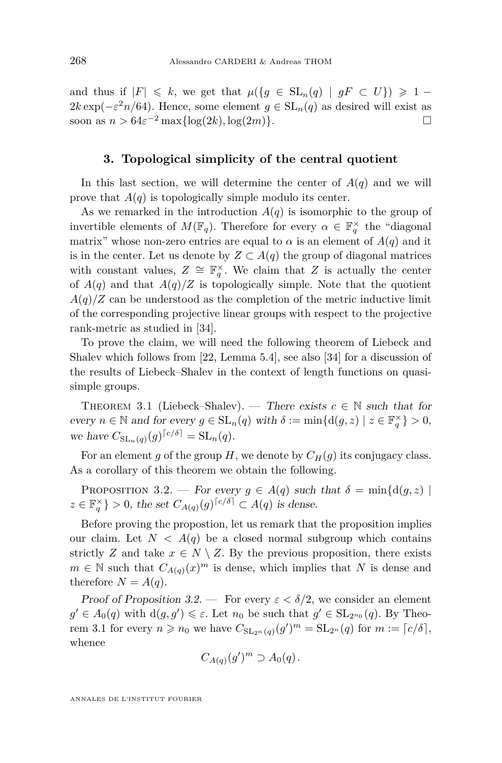and thus if  $|F| \le k$ , we get that  $\mu({g \in SL_n(q) | gF \subset U}) \ge 1$  $2k \exp(-\varepsilon^2 n/64)$ . Hence, some element  $g \in SL_n(q)$  as desired will exist as soon as  $n > 64\varepsilon^{-2} \max\{\log(2k), \log(2m)\}.$ 

#### **3. Topological simplicity of the central quotient**

In this last section, we will determine the center of  $A(q)$  and we will prove that  $A(q)$  is topologically simple modulo its center.

As we remarked in the introduction  $A(q)$  is isomorphic to the group of invertible elements of  $M(\mathbb{F}_q)$ . Therefore for every  $\alpha \in \mathbb{F}_q^{\times}$  the "diagonal matrix" whose non-zero entries are equal to  $\alpha$  is an element of  $A(q)$  and it is in the center. Let us denote by  $Z \subset A(q)$  the group of diagonal matrices with constant values,  $Z \cong \mathbb{F}_q^{\times}$ . We claim that *Z* is actually the center of  $A(q)$  and that  $A(q)/Z$  is topologically simple. Note that the quotient  $A(q)/Z$  can be understood as the completion of the metric inductive limit of the corresponding projective linear groups with respect to the projective rank-metric as studied in [\[34\]](#page-17-1).

To prove the claim, we will need the following theorem of Liebeck and Shalev which follows from [\[22,](#page-16-17) Lemma 5.4], see also [\[34\]](#page-17-1) for a discussion of the results of Liebeck–Shalev in the context of length functions on quasisimple groups.

<span id="page-12-1"></span>THEOREM 3.1 (Liebeck–Shalev). — There exists  $c \in \mathbb{N}$  such that for every  $n \in \mathbb{N}$  and for every  $g \in SL_n(q)$  with  $\delta := \min\{d(g, z) \mid z \in \mathbb{F}_q^{\times}\} > 0$ , we have  $C_{\mathrm{SL}_n(q)}(g)^{\lceil c/\delta \rceil} = \mathrm{SL}_n(q)$ .

For an element *g* of the group *H*, we denote by  $C_H(q)$  its conjugacy class. As a corollary of this theorem we obtain the following.

<span id="page-12-0"></span>PROPOSITION 3.2. — For every  $g \in A(q)$  such that  $\delta = \min\{d(g, z) \mid$  $z \in \mathbb{F}_q^{\times}$  > 0, the set  $C_{A(q)}(g)^{\lceil c/\delta \rceil} \subset A(q)$  is dense.

Before proving the propostion, let us remark that the proposition implies our claim. Let  $N < A(q)$  be a closed normal subgroup which contains strictly *Z* and take  $x \in N \setminus Z$ . By the previous proposition, there exists  $m \in \mathbb{N}$  such that  $C_{A(q)}(x)^m$  is dense, which implies that *N* is dense and therefore  $N = A(q)$ .

Proof of Proposition [3.2.](#page-12-0) — For every  $\varepsilon < \delta/2$ , we consider an element  $g' \in A_0(q)$  with  $d(g, g') \leq \varepsilon$ . Let  $n_0$  be such that  $g' \in SL_{2^{n_0}}(q)$ . By Theo-rem [3.1](#page-12-1) for every  $n \ge n_0$  we have  $C_{\mathrm{SL}_{2^n}(q)}(g')^m = \mathrm{SL}_{2^n}(q)$  for  $m := \lceil c/\delta \rceil$ , whence

$$
C_{A(q)}(g')^m \supset A_0(q).
$$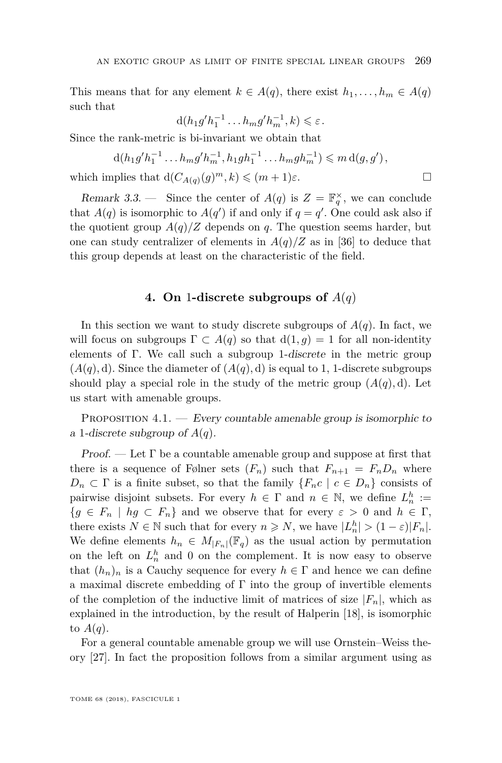This means that for any element  $k \in A(q)$ , there exist  $h_1, \ldots, h_m \in A(q)$ such that

$$
d(h_1g'h_1^{-1}\dots h_mg'h_m^{-1},k)\leq \varepsilon.
$$

Since the rank-metric is bi-invariant we obtain that

$$
d(h_1g'h_1^{-1}\dots h_mg'h_m^{-1},h_1gh_1^{-1}\dots h_mgh_m^{-1}) \leqslant m\,d(g,g'),
$$

which implies that  $d(C_{A(q)}(g)^m, k) \leqslant (m+1)\varepsilon$ .

Remark 3.3. – Since the center of  $A(q)$  is  $Z = \mathbb{F}_q^{\times}$ , we can conclude that  $A(q)$  is isomorphic to  $A(q')$  if and only if  $q = q'$ . One could ask also if the quotient group  $A(q)/Z$  depends on q. The question seems harder, but one can study centralizer of elements in  $A(q)/Z$  as in [\[36\]](#page-17-2) to deduce that this group depends at least on the characteristic of the field.

#### **4. On** 1**-discrete subgroups of** *A*(*q*)

<span id="page-13-1"></span>In this section we want to study discrete subgroups of  $A(q)$ . In fact, we will focus on subgroups  $\Gamma \subset A(q)$  so that  $d(1, g) = 1$  for all non-identity elements of Γ. We call such a subgroup 1-discrete in the metric group  $(A(q), d)$ . Since the diameter of  $(A(q), d)$  is equal to 1, 1-discrete subgroups should play a special role in the study of the metric group  $(A(q), d)$ . Let us start with amenable groups.

<span id="page-13-0"></span>PROPOSITION  $4.1.$  — Every countable amenable group is isomorphic to a 1-discrete subgroup of *A*(*q*).

Proof. — Let  $\Gamma$  be a countable amenable group and suppose at first that there is a sequence of Følner sets  $(F_n)$  such that  $F_{n+1} = F_n D_n$  where  $D_n \subset \Gamma$  is a finite subset, so that the family  $\{F_nc \mid c \in D_n\}$  consists of pairwise disjoint subsets. For every  $h \in \Gamma$  and  $n \in \mathbb{N}$ , we define  $L_n^h :=$  ${g \in F_n \mid hg \subset F_n}$  and we observe that for every  $\varepsilon > 0$  and  $h \in \Gamma$ , there exists  $N \in \mathbb{N}$  such that for every  $n \geq N$ , we have  $|L_n^h| > (1 - \varepsilon)|F_n|$ . We define elements  $h_n \in M_{|F_n|}(\mathbb{F}_q)$  as the usual action by permutation on the left on  $L_n^h$  and 0 on the complement. It is now easy to observe that  $(h_n)_n$  is a Cauchy sequence for every  $h \in \Gamma$  and hence we can define a maximal discrete embedding of  $\Gamma$  into the group of invertible elements of the completion of the inductive limit of matrices of size  $|F_n|$ , which as explained in the introduction, by the result of Halperin [\[18\]](#page-16-1), is isomorphic to  $A(q)$ .

For a general countable amenable group we will use Ornstein–Weiss theory [\[27\]](#page-16-18). In fact the proposition follows from a similar argument using as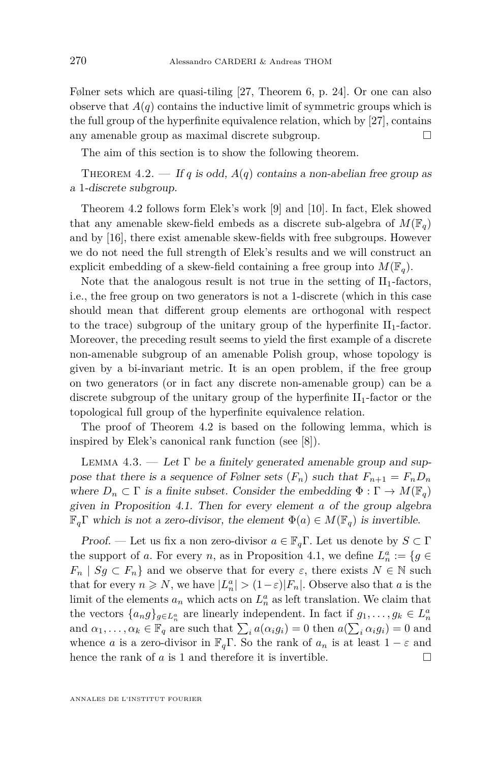Følner sets which are quasi-tiling [\[27,](#page-16-18) Theorem 6, p. 24]. Or one can also observe that  $A(q)$  contains the inductive limit of symmetric groups which is the full group of the hyperfinite equivalence relation, which by [\[27\]](#page-16-18), contains any amenable group as maximal discrete subgroup.

The aim of this section is to show the following theorem.

<span id="page-14-0"></span>THEOREM 4.2. — If *q* is odd,  $A(q)$  contains a non-abelian free group as a 1-discrete subgroup.

Theorem [4.2](#page-14-0) follows form Elek's work [\[9\]](#page-15-7) and [\[10\]](#page-16-19). In fact, Elek showed that any amenable skew-field embeds as a discrete sub-algebra of  $M(\mathbb{F}_q)$ and by [\[16\]](#page-16-20), there exist amenable skew-fields with free subgroups. However we do not need the full strength of Elek's results and we will construct an explicit embedding of a skew-field containing a free group into  $M(\mathbb{F}_q)$ .

Note that the analogous result is not true in the setting of  $II_1$ -factors, i.e., the free group on two generators is not a 1-discrete (which in this case should mean that different group elements are orthogonal with respect to the trace) subgroup of the unitary group of the hyperfinite  $II_1$ -factor. Moreover, the preceding result seems to yield the first example of a discrete non-amenable subgroup of an amenable Polish group, whose topology is given by a bi-invariant metric. It is an open problem, if the free group on two generators (or in fact any discrete non-amenable group) can be a discrete subgroup of the unitary group of the hyperfinite  $II_1$ -factor or the topological full group of the hyperfinite equivalence relation.

The proof of Theorem [4.2](#page-14-0) is based on the following lemma, which is inspired by Elek's canonical rank function (see [\[8\]](#page-15-8)).

<span id="page-14-1"></span>LEMMA 4.3. — Let  $\Gamma$  be a finitely generated amenable group and suppose that there is a sequence of Følner sets  $(F_n)$  such that  $F_{n+1} = F_n D_n$ where  $D_n \subset \Gamma$  is a finite subset. Consider the embedding  $\Phi : \Gamma \to M(\mathbb{F}_q)$ given in Proposition [4.1.](#page-13-0) Then for every element *a* of the group algebra  $\mathbb{F}_q\Gamma$  which is not a zero-divisor, the element  $\Phi(a) \in M(\mathbb{F}_q)$  is invertible.

Proof. — Let us fix a non zero-divisor  $a \in \mathbb{F}_q$ Γ. Let us denote by  $S \subset \Gamma$ the support of *a*. For every *n*, as in Proposition [4.1,](#page-13-0) we define  $L_n^a := \{ g \in$  $F_n \mid S_g \subset F_n$  and we observe that for every  $\varepsilon$ , there exists  $N \in \mathbb{N}$  such that for every  $n \ge N$ , we have  $|L_n^a| > (1 - \varepsilon)|F_n|$ . Observe also that *a* is the limit of the elements  $a_n$  which acts on  $L_n^a$  as left translation. We claim that the vectors  $\{a_n g\}_{g \in L_n^a}$  are linearly independent. In fact if  $g_1, \ldots, g_k \in L_n^a$ and  $\alpha_1, \ldots, \alpha_k \in \mathbb{F}_q$  are such that  $\sum_i a(\alpha_i g_i) = 0$  then  $a(\sum_i \alpha_i g_i) = 0$  and whence *a* is a zero-divisor in  $\mathbb{F}_q\Gamma$ . So the rank of  $a_n$  is at least  $1 - \varepsilon$  and hence the rank of  $a$  is 1 and therefore it is invertible.  $\Box$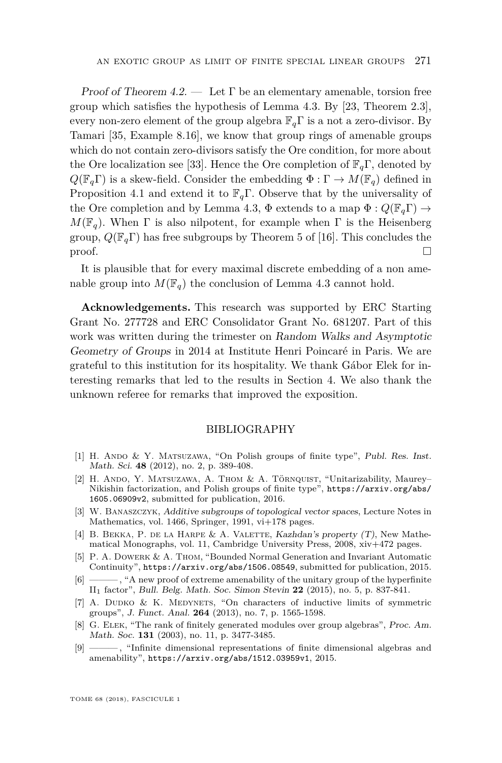Proof of Theorem [4.2.](#page-14-0) — Let  $\Gamma$  be an elementary amenable, torsion free group which satisfies the hypothesis of Lemma [4.3.](#page-14-1) By [\[23,](#page-16-21) Theorem 2.3], every non-zero element of the group algebra F*q*Γ is a not a zero-divisor. By Tamari [\[35,](#page-17-3) Example 8.16], we know that group rings of amenable groups which do not contain zero-divisors satisfy the Ore condition, for more about the Ore localization see [\[33\]](#page-17-4). Hence the Ore completion of F*q*Γ, denoted by  $Q(\mathbb{F}_q\Gamma)$  is a skew-field. Consider the embedding  $\Phi : \Gamma \to M(\mathbb{F}_q)$  defined in Proposition [4.1](#page-13-0) and extend it to F*q*Γ. Observe that by the universality of the Ore completion and by Lemma [4.3,](#page-14-1)  $\Phi$  extends to a map  $\Phi: Q(\mathbb{F}_q\Gamma) \to$  $M(\mathbb{F}_q)$ . When  $\Gamma$  is also nilpotent, for example when  $\Gamma$  is the Heisenberg group,  $Q(\mathbb{F}_q\Gamma)$  has free subgroups by Theorem 5 of [\[16\]](#page-16-20). This concludes the  $\Box$ 

It is plausible that for every maximal discrete embedding of a non amenable group into  $M(\mathbb{F}_q)$  the conclusion of Lemma [4.3](#page-14-1) cannot hold.

**Acknowledgements.** This research was supported by ERC Starting Grant No. 277728 and ERC Consolidator Grant No. 681207. Part of this work was written during the trimester on Random Walks and Asymptotic Geometry of Groups in 2014 at Institute Henri Poincaré in Paris. We are grateful to this institution for its hospitality. We thank Gábor Elek for interesting remarks that led to the results in Section [4.](#page-13-1) We also thank the unknown referee for remarks that improved the exposition.

#### BIBLIOGRAPHY

- <span id="page-15-4"></span>[1] H. Ando & Y. Matsuzawa, "On Polish groups of finite type", Publ. Res. Inst. Math. Sci. **48** (2012), no. 2, p. 389-408.
- <span id="page-15-5"></span>[2] H. ANDO, Y. MATSUZAWA, A. THOM & A. TÖRNQUIST, "Unitarizability, Maurey-Nikishin factorization, and Polish groups of finite type", [https://arxiv.org/abs/](https://arxiv.org/abs/1605.06909v2) [1605.06909v2](https://arxiv.org/abs/1605.06909v2), submitted for publication, 2016.
- <span id="page-15-0"></span>[3] W. Banaszczyk, Additive subgroups of topological vector spaces, Lecture Notes in Mathematics, vol. 1466, Springer, 1991, vi+178 pages.
- <span id="page-15-1"></span>[4] B. BEKKA, P. DE LA HARPE & A. VALETTE, Kazhdan's property (T), New Mathematical Monographs, vol. 11, Cambridge University Press, 2008, xiv+472 pages.
- <span id="page-15-2"></span>[5] P. A. Dowerk & A. Thom, "Bounded Normal Generation and Invariant Automatic Continuity", <https://arxiv.org/abs/1506.08549>, submitted for publication, 2015.
- <span id="page-15-6"></span>[6] ——— , "A new proof of extreme amenability of the unitary group of the hyperfinite II<sup>1</sup> factor", Bull. Belg. Math. Soc. Simon Stevin **22** (2015), no. 5, p. 837-841.
- <span id="page-15-3"></span>[7] A. DUDKO & K. MEDYNETS, "On characters of inductive limits of symmetric groups", J. Funct. Anal. **264** (2013), no. 7, p. 1565-1598.
- <span id="page-15-8"></span>[8] G. Elek, "The rank of finitely generated modules over group algebras", Proc. Am. Math. Soc. **131** (2003), no. 11, p. 3477-3485.
- <span id="page-15-7"></span>[9] ——— , "Infinite dimensional representations of finite dimensional algebras and amenability", <https://arxiv.org/abs/1512.03959v1>, 2015.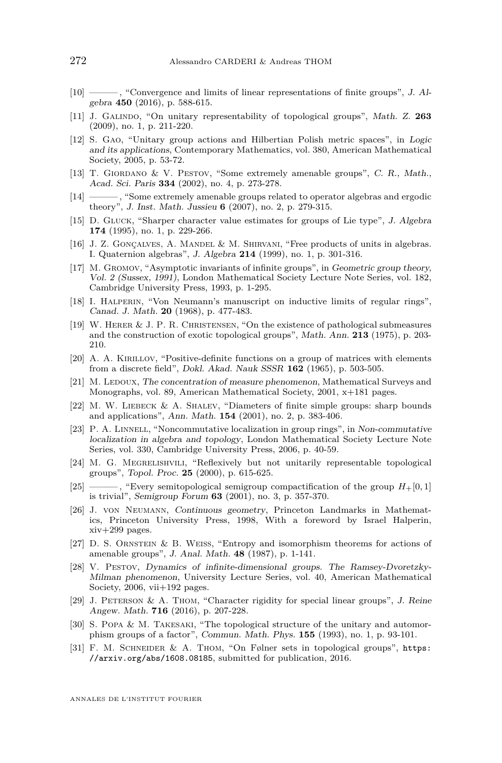- <span id="page-16-19"></span>[10] ——— , "Convergence and limits of linear representations of finite groups", J. Algebra **450** (2016), p. 588-615.
- <span id="page-16-3"></span>[11] J. Galindo, "On unitary representability of topological groups", Math. Z. **263** (2009), no. 1, p. 211-220.
- <span id="page-16-4"></span>[12] S. Gao, "Unitary group actions and Hilbertian Polish metric spaces", in Logic and its applications, Contemporary Mathematics, vol. 380, American Mathematical Society, 2005, p. 53-72.
- <span id="page-16-9"></span>[13] T. Giordano & V. Pestov, "Some extremely amenable groups", C. R., Math., Acad. Sci. Paris **334** (2002), no. 4, p. 273-278.
- <span id="page-16-10"></span>[14] ——— , "Some extremely amenable groups related to operator algebras and ergodic theory", J. Inst. Math. Jussieu **6** (2007), no. 2, p. 279-315.
- <span id="page-16-14"></span>[15] D. Gluck, "Sharper character value estimates for groups of Lie type", J. Algebra **174** (1995), no. 1, p. 229-266.
- <span id="page-16-20"></span>[16] J. Z. Gonçalves, A. Mandel & M. Shirvani, "Free products of units in algebras. I. Quaternion algebras", J. Algebra **214** (1999), no. 1, p. 301-316.
- <span id="page-16-8"></span>[17] M. Gromov, "Asymptotic invariants of infinite groups", in Geometric group theory, Vol. 2 (Sussex, 1991), London Mathematical Society Lecture Note Series, vol. 182, Cambridge University Press, 1993, p. 1-295.
- <span id="page-16-1"></span>[18] I. Halperin, "Von Neumann's manuscript on inductive limits of regular rings", Canad. J. Math. **20** (1968), p. 477-483.
- <span id="page-16-5"></span>[19] W. Herer & J. P. R. Christensen, "On the existence of pathological submeasures and the construction of exotic topological groups", Math. Ann. **213** (1975), p. 203- 210.
- <span id="page-16-12"></span>[20] A. A. KIRILLOV, "Positive-definite functions on a group of matrices with elements from a discrete field", Dokl. Akad. Nauk SSSR **162** (1965), p. 503-505.
- <span id="page-16-15"></span>[21] M. Ledoux, The concentration of measure phenomenon, Mathematical Surveys and Monographs, vol. 89, American Mathematical Society, 2001, x+181 pages.
- <span id="page-16-17"></span>[22] M. W. Liebeck & A. Shalev, "Diameters of finite simple groups: sharp bounds and applications", Ann. Math. **154** (2001), no. 2, p. 383-406.
- <span id="page-16-21"></span>[23] P. A. LINNELL, "Noncommutative localization in group rings", in Non-commutative localization in algebra and topology, London Mathematical Society Lecture Note Series, vol. 330, Cambridge University Press, 2006, p. 40-59.
- <span id="page-16-2"></span>[24] M. G. Megrelishvili, "Reflexively but not unitarily representable topological groups", Topol. Proc. **25** (2000), p. 615-625.
- <span id="page-16-6"></span>[25] ——— , "Every semitopological semigroup compactification of the group *H*+[0*,* 1] is trivial", Semigroup Forum **63** (2001), no. 3, p. 357-370.
- <span id="page-16-0"></span>[26] J. von Neumann, Continuous geometry, Princeton Landmarks in Mathematics, Princeton University Press, 1998, With a foreword by Israel Halperin, xiv+299 pages.
- <span id="page-16-18"></span>[27] D. S. Ornstein & B. Weiss, "Entropy and isomorphism theorems for actions of amenable groups", J. Anal. Math. **48** (1987), p. 1-141.
- <span id="page-16-7"></span>[28] V. Pestov, Dynamics of infinite-dimensional groups. The Ramsey-Dvoretzky-Milman phenomenon, University Lecture Series, vol. 40, American Mathematical Society,  $2006$ , vii $+192$  pages.
- <span id="page-16-13"></span>[29] J. Peterson & A. Thom, "Character rigidity for special linear groups", J. Reine Angew. Math. **716** (2016), p. 207-228.
- <span id="page-16-11"></span>[30] S. Popa & M. Takesaki, "The topological structure of the unitary and automorphism groups of a factor", Commun. Math. Phys. **155** (1993), no. 1, p. 93-101.
- <span id="page-16-16"></span>[31] F. M. Schneider & A. Thom, "On Følner sets in topological groups", [https:](https://arxiv.org/abs/1608.08185) [//arxiv.org/abs/1608.08185](https://arxiv.org/abs/1608.08185), submitted for publication, 2016.